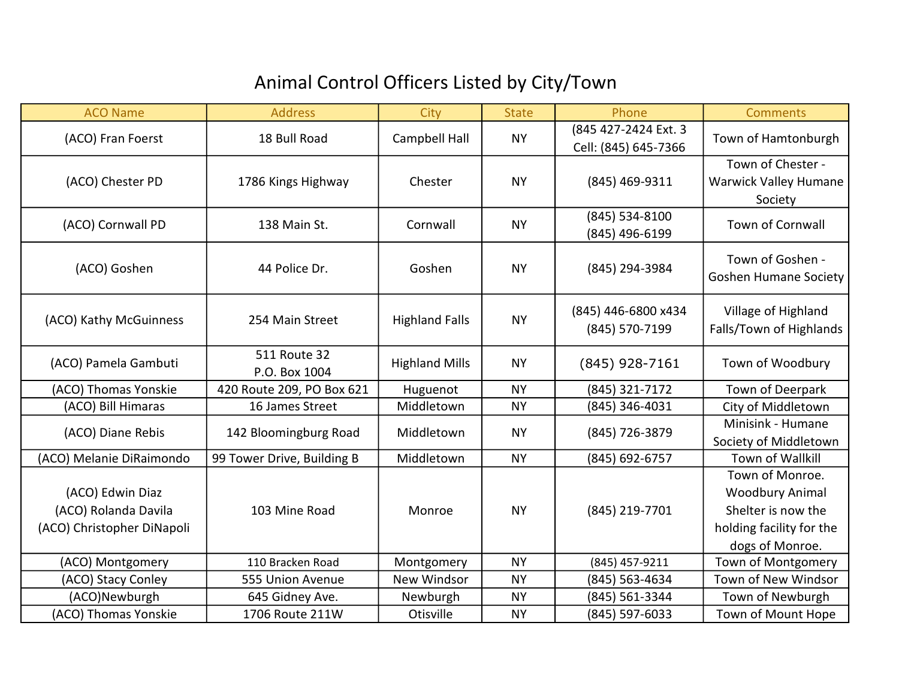## Animal Control Officers Listed by City/Town

| <b>ACO Name</b>                                                        | <b>Address</b>                | City                  | <b>State</b> | Phone                                        | <b>Comments</b>                                                                                                |
|------------------------------------------------------------------------|-------------------------------|-----------------------|--------------|----------------------------------------------|----------------------------------------------------------------------------------------------------------------|
| (ACO) Fran Foerst                                                      | 18 Bull Road                  | Campbell Hall         | <b>NY</b>    | (845 427-2424 Ext. 3<br>Cell: (845) 645-7366 | Town of Hamtonburgh                                                                                            |
| (ACO) Chester PD                                                       | 1786 Kings Highway            | Chester               | <b>NY</b>    | (845) 469-9311                               | Town of Chester -<br><b>Warwick Valley Humane</b><br>Society                                                   |
| (ACO) Cornwall PD                                                      | 138 Main St.                  | Cornwall              | <b>NY</b>    | (845) 534-8100<br>(845) 496-6199             | <b>Town of Cornwall</b>                                                                                        |
| (ACO) Goshen                                                           | 44 Police Dr.                 | Goshen                | <b>NY</b>    | (845) 294-3984                               | Town of Goshen -<br><b>Goshen Humane Society</b>                                                               |
| (ACO) Kathy McGuinness                                                 | 254 Main Street               | <b>Highland Falls</b> | <b>NY</b>    | (845) 446-6800 x434<br>(845) 570-7199        | Village of Highland<br>Falls/Town of Highlands                                                                 |
| (ACO) Pamela Gambuti                                                   | 511 Route 32<br>P.O. Box 1004 | <b>Highland Mills</b> | <b>NY</b>    | (845) 928-7161                               | Town of Woodbury                                                                                               |
| (ACO) Thomas Yonskie                                                   | 420 Route 209, PO Box 621     | Huguenot              | <b>NY</b>    | (845) 321-7172                               | Town of Deerpark                                                                                               |
| (ACO) Bill Himaras                                                     | 16 James Street               | Middletown            | <b>NY</b>    | (845) 346-4031                               | City of Middletown                                                                                             |
| (ACO) Diane Rebis                                                      | 142 Bloomingburg Road         | Middletown            | <b>NY</b>    | (845) 726-3879                               | Minisink - Humane<br>Society of Middletown                                                                     |
| (ACO) Melanie DiRaimondo                                               | 99 Tower Drive, Building B    | Middletown            | <b>NY</b>    | (845) 692-6757                               | <b>Town of Wallkill</b>                                                                                        |
| (ACO) Edwin Diaz<br>(ACO) Rolanda Davila<br>(ACO) Christopher DiNapoli | 103 Mine Road                 | Monroe                | <b>NY</b>    | (845) 219-7701                               | Town of Monroe.<br><b>Woodbury Animal</b><br>Shelter is now the<br>holding facility for the<br>dogs of Monroe. |
| (ACO) Montgomery                                                       | 110 Bracken Road              | Montgomery            | <b>NY</b>    | (845) 457-9211                               | Town of Montgomery                                                                                             |
| (ACO) Stacy Conley                                                     | 555 Union Avenue              | New Windsor           | <b>NY</b>    | (845) 563-4634                               | Town of New Windsor                                                                                            |
| (ACO)Newburgh                                                          | 645 Gidney Ave.               | Newburgh              | <b>NY</b>    | (845) 561-3344                               | Town of Newburgh                                                                                               |
| (ACO) Thomas Yonskie                                                   | 1706 Route 211W               | Otisville             | <b>NY</b>    | (845) 597-6033                               | Town of Mount Hope                                                                                             |